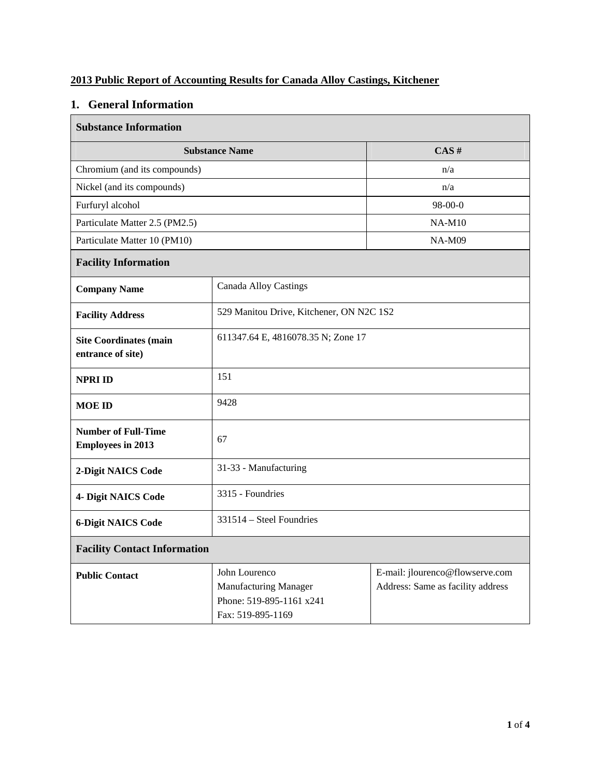## **2013 Public Report of Accounting Results for Canada Alloy Castings, Kitchener**

# **1. General Information**

| <b>Substance Information</b>                           |                                                                                                |                                                                      |  |  |  |  |
|--------------------------------------------------------|------------------------------------------------------------------------------------------------|----------------------------------------------------------------------|--|--|--|--|
| <b>Substance Name</b>                                  | CAS#                                                                                           |                                                                      |  |  |  |  |
| Chromium (and its compounds)                           | n/a                                                                                            |                                                                      |  |  |  |  |
| Nickel (and its compounds)                             |                                                                                                | n/a                                                                  |  |  |  |  |
| Furfuryl alcohol                                       |                                                                                                | $98-00-0$                                                            |  |  |  |  |
| Particulate Matter 2.5 (PM2.5)                         |                                                                                                | <b>NA-M10</b>                                                        |  |  |  |  |
| Particulate Matter 10 (PM10)                           |                                                                                                | <b>NA-M09</b>                                                        |  |  |  |  |
| <b>Facility Information</b>                            |                                                                                                |                                                                      |  |  |  |  |
| <b>Company Name</b>                                    | <b>Canada Alloy Castings</b>                                                                   |                                                                      |  |  |  |  |
| <b>Facility Address</b>                                | 529 Manitou Drive, Kitchener, ON N2C 1S2                                                       |                                                                      |  |  |  |  |
| <b>Site Coordinates (main</b><br>entrance of site)     |                                                                                                | 611347.64 E, 4816078.35 N; Zone 17                                   |  |  |  |  |
| <b>NPRI ID</b>                                         | 151                                                                                            |                                                                      |  |  |  |  |
| <b>MOE ID</b>                                          | 9428                                                                                           |                                                                      |  |  |  |  |
| <b>Number of Full-Time</b><br><b>Employees in 2013</b> | 67                                                                                             |                                                                      |  |  |  |  |
| 2-Digit NAICS Code                                     | 31-33 - Manufacturing                                                                          |                                                                      |  |  |  |  |
| 4- Digit NAICS Code                                    | 3315 - Foundries                                                                               |                                                                      |  |  |  |  |
| <b>6-Digit NAICS Code</b>                              | 331514 – Steel Foundries                                                                       |                                                                      |  |  |  |  |
| <b>Facility Contact Information</b>                    |                                                                                                |                                                                      |  |  |  |  |
| <b>Public Contact</b>                                  | John Lourenco<br><b>Manufacturing Manager</b><br>Phone: 519-895-1161 x241<br>Fax: 519-895-1169 | E-mail: jlourenco@flowserve.com<br>Address: Same as facility address |  |  |  |  |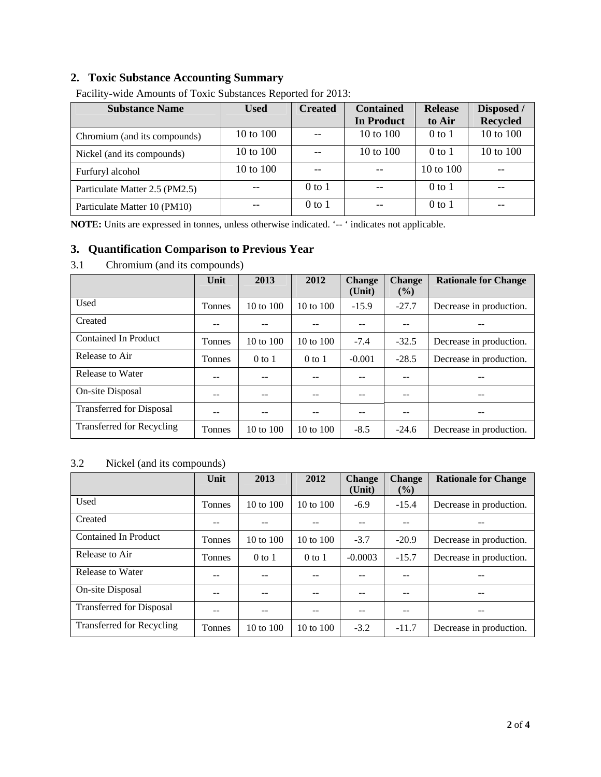# **2. Toxic Substance Accounting Summary**

| <b>Substance Name</b>          | <b>Used</b> | <b>Created</b> | <b>Contained</b>  | <b>Release</b> | Disposed /      |
|--------------------------------|-------------|----------------|-------------------|----------------|-----------------|
|                                |             |                | <b>In Product</b> | to Air         | <b>Recycled</b> |
| Chromium (and its compounds)   | 10 to 100   |                | 10 to 100         | $0$ to $1$     | 10 to 100       |
| Nickel (and its compounds)     | 10 to 100   |                | 10 to 100         | $0$ to 1       | 10 to 100       |
| Furfuryl alcohol               | 10 to 100   |                |                   | 10 to 100      |                 |
| Particulate Matter 2.5 (PM2.5) |             | $0$ to $1$     |                   | $0$ to 1       |                 |
| Particulate Matter 10 (PM10)   |             | $0$ to $1$     |                   | $0$ to $1$     |                 |

Facility-wide Amounts of Toxic Substances Reported for 2013:

**NOTE:** Units are expressed in tonnes, unless otherwise indicated. '-- ' indicates not applicable.

#### **3. Quantification Comparison to Previous Year**

| 3.1 |  | Chromium (and its compounds) |
|-----|--|------------------------------|
|     |  |                              |

|                                  | Unit   | 2013                 | 2012                 | <b>Change</b> | <b>Change</b> | <b>Rationale for Change</b> |
|----------------------------------|--------|----------------------|----------------------|---------------|---------------|-----------------------------|
|                                  |        |                      |                      | (Unit)        | $($ %)        |                             |
| Used                             | Tonnes | 10 to 100            | $10 \text{ to } 100$ | $-15.9$       | $-27.7$       | Decrease in production.     |
| Created                          | --     |                      |                      |               |               |                             |
| <b>Contained In Product</b>      | Tonnes | $10 \text{ to } 100$ | 10 to $100$          | $-7.4$        | $-32.5$       | Decrease in production.     |
| Release to Air                   | Tonnes | $0$ to $1$           | $0$ to $1$           | $-0.001$      | $-28.5$       | Decrease in production.     |
| Release to Water                 |        | --                   |                      | --            | --            | --                          |
| On-site Disposal                 |        |                      |                      |               | --            |                             |
| <b>Transferred for Disposal</b>  |        |                      |                      |               | --            |                             |
| <b>Transferred for Recycling</b> | Tonnes | $10 \text{ to } 100$ | $10 \text{ to } 100$ | $-8.5$        | $-24.6$       | Decrease in production.     |

#### 3.2 Nickel (and its compounds)

|                                 | Unit          | 2013                 | 2012                 | <b>Change</b><br>(Unit) | <b>Change</b><br>$($ %) | <b>Rationale for Change</b> |
|---------------------------------|---------------|----------------------|----------------------|-------------------------|-------------------------|-----------------------------|
| Used                            | <b>Tonnes</b> | $10 \text{ to } 100$ | 10 to $100$          | $-6.9$                  | $-15.4$                 | Decrease in production.     |
| Created                         |               |                      |                      |                         | --                      |                             |
| Contained In Product            | <b>Tonnes</b> | $10 \text{ to } 100$ | 10 to $100$          | $-3.7$                  | $-20.9$                 | Decrease in production.     |
| Release to Air                  | <b>Tonnes</b> | $0$ to 1             | $0$ to 1             | $-0.0003$               | $-15.7$                 | Decrease in production.     |
| Release to Water                |               | --                   |                      | --                      | --                      | --                          |
| On-site Disposal                |               |                      |                      | --                      | --                      | --                          |
| <b>Transferred for Disposal</b> |               | --                   |                      | --                      | --                      | --                          |
| Transferred for Recycling       | Tonnes        | 10 to $100$          | $10 \text{ to } 100$ | $-3.2$                  | $-11.7$                 | Decrease in production.     |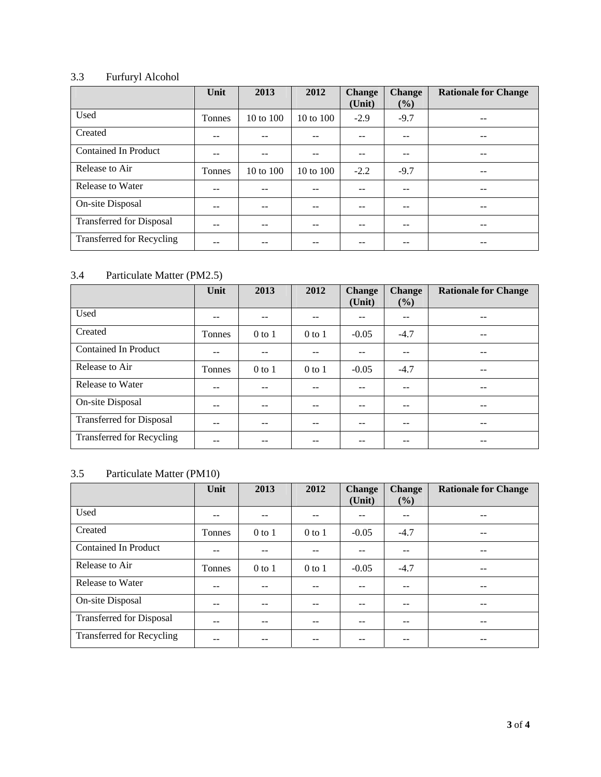# 3.3 Furfuryl Alcohol

|                                 | Unit   | 2013      | 2012                 | <b>Change</b><br>(Unit) | <b>Change</b><br>$(\%)$ | <b>Rationale for Change</b> |
|---------------------------------|--------|-----------|----------------------|-------------------------|-------------------------|-----------------------------|
| Used                            | Tonnes | 10 to 100 | 10 to 100            | $-2.9$                  | $-9.7$                  |                             |
| Created                         | --     |           | --                   | $-$                     | --                      |                             |
| <b>Contained In Product</b>     | --     |           | --                   | $- -$                   | --                      |                             |
| Release to Air                  | Tonnes | 10 to 100 | $10 \text{ to } 100$ | $-2.2$                  | $-9.7$                  | --                          |
| Release to Water                | --     |           | --                   | $- -$                   | --                      |                             |
| On-site Disposal                | --     |           | --                   | $- -$                   | --                      |                             |
| <b>Transferred for Disposal</b> |        |           |                      | --                      |                         |                             |
| Transferred for Recycling       |        |           |                      |                         |                         |                             |

### 3.4 Particulate Matter (PM2.5)

|                                  | Unit   | 2013       | 2012       | <b>Change</b><br>(Unit)  | <b>Change</b><br>$(\%)$ | <b>Rationale for Change</b> |
|----------------------------------|--------|------------|------------|--------------------------|-------------------------|-----------------------------|
| Used                             | --     | --         | --         | --                       | --                      |                             |
| Created                          | Tonnes | $0$ to $1$ | $0$ to $1$ | $-0.05$                  | $-4.7$                  | --                          |
| <b>Contained In Product</b>      | --     | --         | --         | $- -$                    | $- -$                   | --                          |
| Release to Air                   | Tonnes | $0$ to $1$ | $0$ to $1$ | $-0.05$                  | $-4.7$                  |                             |
| Release to Water                 | $- -$  | --         | $- -$      | $\overline{\phantom{m}}$ | $\qquad \qquad -$       | --                          |
| On-site Disposal                 | --     | --         | --         | $- -$                    | --                      | --                          |
| <b>Transferred for Disposal</b>  | --     |            | --         | --                       | --                      |                             |
| <b>Transferred for Recycling</b> |        |            |            |                          |                         |                             |

### 3.5 Particulate Matter (PM10)

|                                  | Unit   | 2013       | 2012       | <b>Change</b><br>(Unit) | <b>Change</b><br>$(\%)$ | <b>Rationale for Change</b> |
|----------------------------------|--------|------------|------------|-------------------------|-------------------------|-----------------------------|
| Used                             |        |            |            |                         |                         |                             |
| Created                          | Tonnes | $0$ to $1$ | $0$ to $1$ | $-0.05$                 | $-4.7$                  |                             |
| <b>Contained In Product</b>      |        |            | --         | --                      |                         |                             |
| Release to Air                   | Tonnes | $0$ to $1$ | $0$ to $1$ | $-0.05$                 | $-4.7$                  |                             |
| Release to Water                 | --     | --         | --         | --                      |                         |                             |
| On-site Disposal                 | --     | --         | --         | $-$                     | --                      |                             |
| <b>Transferred for Disposal</b>  | --     | --         | --         | --                      |                         | --                          |
| <b>Transferred for Recycling</b> |        |            |            |                         |                         |                             |